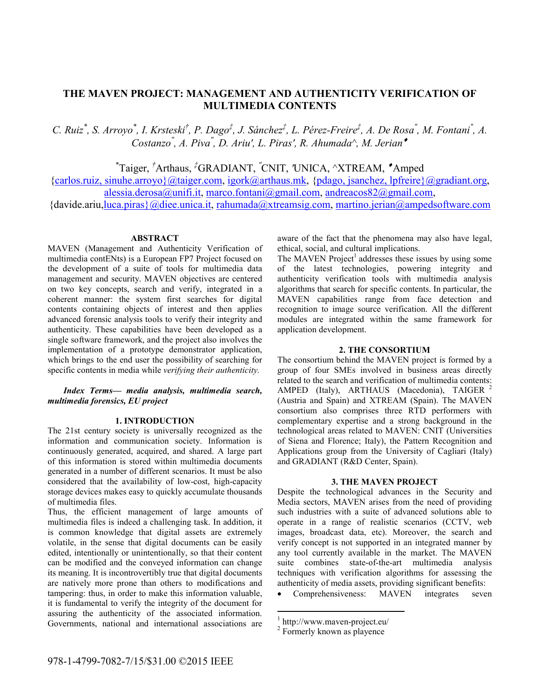# **THE MAVEN PROJECT: MANAGEMENT AND AUTHENTICITY VERIFICATION OF MULTIMEDIA CONTENTS**

*C. Ruiz\* , S. Arroyo\* , I. Krsteski† , P. Dago‡ , J. Sánchez‡ , L. Pérez-Freire‡ , A. De Rosa″ , M. Fontani″ , A. Costanzo″ , A. Piva″ , D. Ariu′, L. Piras′, R. Ahumada^, M. Jerian*♦

\* Taiger, *†* Arthaus, *‡* GRADIANT, *″* CNIT, *′*UNICA, ^XTREAM, ♦ Amped

{carlos.ruiz, sinuhe.arroyo}@taiger.com, igork@arthaus.mk, {pdago, jsanchez, lpfreire}@gradiant.org, alessia.derosa@unifi.it, marco.fontani@gmail.com, andreacos82@gmail.com, {davide.ariu,luca.piras}@diee.unica.it, rahumada@xtreamsig.com, martino.jerian@ampedsoftware.com

## **ABSTRACT**

MAVEN (Management and Authenticity Verification of multimedia contENts) is a European FP7 Project focused on the development of a suite of tools for multimedia data management and security. MAVEN objectives are centered on two key concepts, search and verify, integrated in a coherent manner: the system first searches for digital contents containing objects of interest and then applies advanced forensic analysis tools to verify their integrity and authenticity. These capabilities have been developed as a single software framework, and the project also involves the implementation of a prototype demonstrator application, which brings to the end user the possibility of searching for specific contents in media while *verifying their authenticity.*

## *Index Terms— media analysis, multimedia search, multimedia forensics, EU project*

## **1. INTRODUCTION**

The 21st century society is universally recognized as the information and communication society. Information is continuously generated, acquired, and shared. A large part of this information is stored within multimedia documents generated in a number of different scenarios. It must be also considered that the availability of low-cost, high-capacity storage devices makes easy to quickly accumulate thousands of multimedia files.

Thus, the efficient management of large amounts of multimedia files is indeed a challenging task. In addition, it is common knowledge that digital assets are extremely volatile, in the sense that digital documents can be easily edited, intentionally or unintentionally, so that their content can be modified and the conveyed information can change its meaning. It is incontrovertibly true that digital documents are natively more prone than others to modifications and tampering: thus, in order to make this information valuable, it is fundamental to verify the integrity of the document for assuring the authenticity of the associated information. Governments, national and international associations are aware of the fact that the phenomena may also have legal, ethical, social, and cultural implications.

The MAVEN Project<sup>1</sup> addresses these issues by using some of the latest technologies, powering integrity and authenticity verification tools with multimedia analysis algorithms that search for specific contents. In particular, the MAVEN capabilities range from face detection and recognition to image source verification. All the different modules are integrated within the same framework for application development.

## **2. THE CONSORTIUM**

The consortium behind the MAVEN project is formed by a group of four SMEs involved in business areas directly related to the search and verification of multimedia contents: AMPED (Italy), ARTHAUS (Macedonia), TAIGER<sup>2</sup> (Austria and Spain) and XTREAM (Spain). The MAVEN consortium also comprises three RTD performers with complementary expertise and a strong background in the technological areas related to MAVEN: CNIT (Universities of Siena and Florence; Italy), the Pattern Recognition and Applications group from the University of Cagliari (Italy) and GRADIANT (R&D Center, Spain).

## **3. THE MAVEN PROJECT**

Despite the technological advances in the Security and Media sectors, MAVEN arises from the need of providing such industries with a suite of advanced solutions able to operate in a range of realistic scenarios (CCTV, web images, broadcast data, etc). Moreover, the search and verify concept is not supported in an integrated manner by any tool currently available in the market. The MAVEN suite combines state-of-the-art multimedia analysis techniques with verification algorithms for assessing the authenticity of media assets, providing significant benefits:

• Comprehensiveness: MAVEN integrates seven

 $\overline{a}$ 

<sup>1</sup> http://www.maven-project.eu/

<sup>2</sup> Formerly known as playence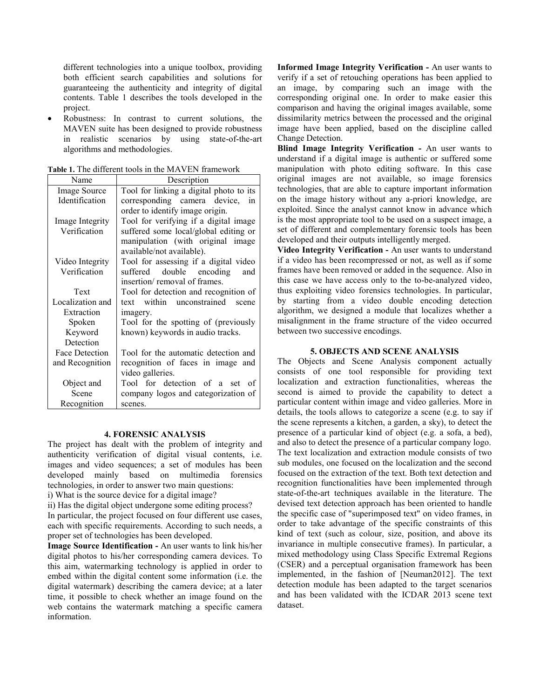different technologies into a unique toolbox, providing both efficient search capabilities and solutions for guaranteeing the authenticity and integrity of digital contents. Table 1 describes the tools developed in the project.

• Robustness: In contrast to current solutions, the MAVEN suite has been designed to provide robustness in realistic scenarios by using state-of-the-art algorithms and methodologies.

| Table 1. The different tools in the MAVEN framework |  |
|-----------------------------------------------------|--|
|-----------------------------------------------------|--|

| Name                  | Description                             |
|-----------------------|-----------------------------------------|
| Image Source          | Tool for linking a digital photo to its |
| Identification        | corresponding camera device,<br>in      |
|                       | order to identify image origin.         |
| Image Integrity       | Tool for verifying if a digital image   |
| Verification          | suffered some local/global editing or   |
|                       | manipulation (with original image       |
|                       | available/not available).               |
| Video Integrity       | Tool for assessing if a digital video   |
| Verification          | double encoding<br>suffered<br>and      |
|                       | insertion/removal of frames.            |
| Text                  | Tool for detection and recognition of   |
| Localization and      | text within<br>unconstrained<br>scene   |
| Extraction            | imagery.                                |
| Spoken                | Tool for the spotting of (previously    |
| Keyword               | known) keywords in audio tracks.        |
| Detection             |                                         |
| <b>Face Detection</b> | Tool for the automatic detection and    |
| and Recognition       | recognition of faces in image and       |
|                       | video galleries.                        |
| Object and            | Tool for detection of a set<br>- of     |
| Scene                 | company logos and categorization of     |
| Recognition           | scenes.                                 |

#### **4. FORENSIC ANALYSIS**

The project has dealt with the problem of integrity and authenticity verification of digital visual contents, i.e. images and video sequences; a set of modules has been developed mainly based on multimedia forensics technologies, in order to answer two main questions:

i) What is the source device for a digital image?

ii) Has the digital object undergone some editing process? In particular, the project focused on four different use cases, each with specific requirements. According to such needs, a proper set of technologies has been developed.

**Image Source Identification -** An user wants to link his/her digital photos to his/her corresponding camera devices. To this aim, watermarking technology is applied in order to embed within the digital content some information (i.e. the digital watermark) describing the camera device; at a later time, it possible to check whether an image found on the web contains the watermark matching a specific camera information.

**Informed Image Integrity Verification -** An user wants to verify if a set of retouching operations has been applied to an image, by comparing such an image with the corresponding original one. In order to make easier this comparison and having the original images available, some dissimilarity metrics between the processed and the original image have been applied, based on the discipline called Change Detection.

**Blind Image Integrity Verification -** An user wants to understand if a digital image is authentic or suffered some manipulation with photo editing software. In this case original images are not available, so image forensics technologies, that are able to capture important information on the image history without any a-priori knowledge, are exploited. Since the analyst cannot know in advance which is the most appropriate tool to be used on a suspect image, a set of different and complementary forensic tools has been developed and their outputs intelligently merged.

**Video Integrity Verification -** An user wants to understand if a video has been recompressed or not, as well as if some frames have been removed or added in the sequence. Also in this case we have access only to the to-be-analyzed video, thus exploiting video forensics technologies. In particular, by starting from a video double encoding detection algorithm, we designed a module that localizes whether a misalignment in the frame structure of the video occurred between two successive encodings.

#### **5. OBJECTS AND SCENE ANALYSIS**

The Objects and Scene Analysis component actually consists of one tool responsible for providing text localization and extraction functionalities, whereas the second is aimed to provide the capability to detect a particular content within image and video galleries. More in details, the tools allows to categorize a scene (e.g. to say if the scene represents a kitchen, a garden, a sky), to detect the presence of a particular kind of object (e.g. a sofa, a bed), and also to detect the presence of a particular company logo. The text localization and extraction module consists of two sub modules, one focused on the localization and the second focused on the extraction of the text. Both text detection and recognition functionalities have been implemented through state-of-the-art techniques available in the literature. The devised text detection approach has been oriented to handle the specific case of "superimposed text" on video frames, in order to take advantage of the specific constraints of this kind of text (such as colour, size, position, and above its invariance in multiple consecutive frames). In particular, a mixed methodology using Class Specific Extremal Regions (CSER) and a perceptual organisation framework has been implemented, in the fashion of [Neuman2012]. The text detection module has been adapted to the target scenarios and has been validated with the ICDAR 2013 scene text dataset.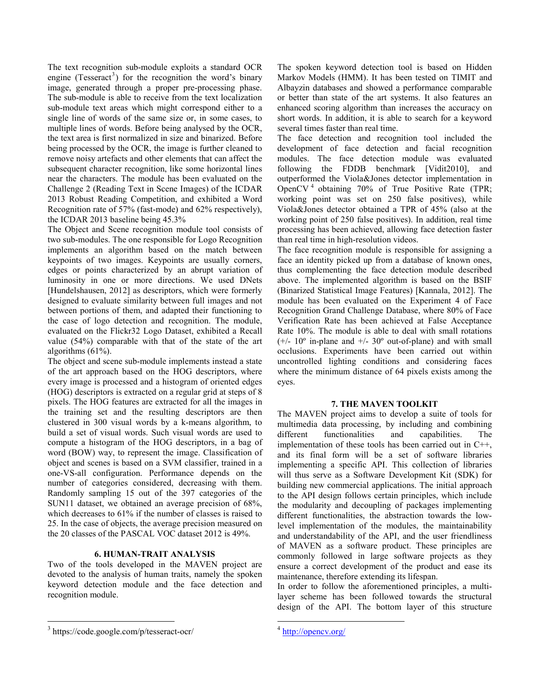The text recognition sub-module exploits a standard OCR engine (Tesseract<sup>3</sup>) for the recognition the word's binary image, generated through a proper pre-processing phase. The sub-module is able to receive from the text localization sub-module text areas which might correspond either to a single line of words of the same size or, in some cases, to multiple lines of words. Before being analysed by the OCR, the text area is first normalized in size and binarized. Before being processed by the OCR, the image is further cleaned to remove noisy artefacts and other elements that can affect the subsequent character recognition, like some horizontal lines near the characters. The module has been evaluated on the Challenge 2 (Reading Text in Scene Images) of the ICDAR 2013 Robust Reading Competition, and exhibited a Word Recognition rate of 57% (fast-mode) and 62% respectively), the ICDAR 2013 baseline being 45.3%

The Object and Scene recognition module tool consists of two sub-modules. The one responsible for Logo Recognition implements an algorithm based on the match between keypoints of two images. Keypoints are usually corners, edges or points characterized by an abrupt variation of luminosity in one or more directions. We used DNets [Hundelshausen, 2012] as descriptors, which were formerly designed to evaluate similarity between full images and not between portions of them, and adapted their functioning to the case of logo detection and recognition. The module, evaluated on the Flickr32 Logo Dataset, exhibited a Recall value (54%) comparable with that of the state of the art algorithms (61%).

The object and scene sub-module implements instead a state of the art approach based on the HOG descriptors, where every image is processed and a histogram of oriented edges (HOG) descriptors is extracted on a regular grid at steps of 8 pixels. The HOG features are extracted for all the images in the training set and the resulting descriptors are then clustered in 300 visual words by a k-means algorithm, to build a set of visual words. Such visual words are used to compute a histogram of the HOG descriptors, in a bag of word (BOW) way, to represent the image. Classification of object and scenes is based on a SVM classifier, trained in a one-VS-all configuration. Performance depends on the number of categories considered, decreasing with them. Randomly sampling 15 out of the 397 categories of the SUN11 dataset, we obtained an average precision of 68%, which decreases to 61% if the number of classes is raised to 25. In the case of objects, the average precision measured on the 20 classes of the PASCAL VOC dataset 2012 is 49%.

## **6. HUMAN-TRAIT ANALYSIS**

Two of the tools developed in the MAVEN project are devoted to the analysis of human traits, namely the spoken keyword detection module and the face detection and recognition module.

 $\overline{a}$ 

The spoken keyword detection tool is based on Hidden Markov Models (HMM). It has been tested on TIMIT and Albayzin databases and showed a performance comparable or better than state of the art systems. It also features an enhanced scoring algorithm than increases the accuracy on short words. In addition, it is able to search for a keyword several times faster than real time.

The face detection and recognition tool included the development of face detection and facial recognition modules. The face detection module was evaluated following the FDDB benchmark [Vidit2010], and outperformed the Viola&Jones detector implementation in OpenCV 4 obtaining 70% of True Positive Rate (TPR; working point was set on 250 false positives), while Viola&Jones detector obtained a TPR of 45% (also at the working point of 250 false positives). In addition, real time processing has been achieved, allowing face detection faster than real time in high-resolution videos.

The face recognition module is responsible for assigning a face an identity picked up from a database of known ones, thus complementing the face detection module described above. The implemented algorithm is based on the BSIF (Binarized Statistical Image Features) [Kannala, 2012]. The module has been evaluated on the Experiment 4 of Face Recognition Grand Challenge Database, where 80% of Face Verification Rate has been achieved at False Acceptance Rate 10%. The module is able to deal with small rotations  $(+/- 10^{\circ}$  in-plane and  $+/- 30^{\circ}$  out-of-plane) and with small occlusions. Experiments have been carried out within uncontrolled lighting conditions and considering faces where the minimum distance of 64 pixels exists among the eyes.

#### **7. THE MAVEN TOOLKIT**

The MAVEN project aims to develop a suite of tools for multimedia data processing, by including and combining different functionalities and capabilities. The implementation of these tools has been carried out in C++, and its final form will be a set of software libraries implementing a specific API. This collection of libraries will thus serve as a Software Development Kit (SDK) for building new commercial applications. The initial approach to the API design follows certain principles, which include the modularity and decoupling of packages implementing different functionalities, the abstraction towards the lowlevel implementation of the modules, the maintainability and understandability of the API, and the user friendliness of MAVEN as a software product. These principles are commonly followed in large software projects as they ensure a correct development of the product and ease its maintenance, therefore extending its lifespan.

In order to follow the aforementioned principles, a multilayer scheme has been followed towards the structural design of the API. The bottom layer of this structure

 $\overline{a}$ 

<sup>3</sup> https://code.google.com/p/tesseract-ocr/

<sup>4</sup> http://opencv.org/